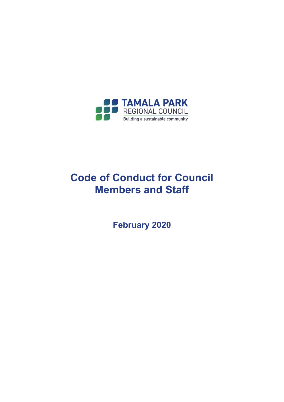

# **Code of Conduct for Council Members and Staff**

**February 2020**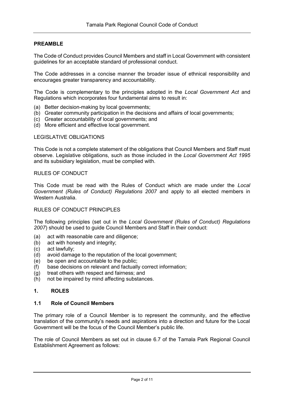# **PREAMBLE**

The Code of Conduct provides Council Members and staff in Local Government with consistent guidelines for an acceptable standard of professional conduct.

The Code addresses in a concise manner the broader issue of ethnical responsibility and encourages greater transparency and accountability.

The Code is complementary to the principles adopted in the *Local Government Act* and Regulations which incorporates four fundamental aims to result in:

- (a) Better decision-making by local governments;
- (b) Greater community participation in the decisions and affairs of local governments;
- (c) Greater accountability of local governments; and
- (d) More efficient and effective local government.

#### LEGISLATIVE OBLIGATIONS

This Code is not a complete statement of the obligations that Council Members and Staff must observe. Legislative obligations, such as those included in the *Local Government Act 1995* and its subsidiary legislation, must be complied with.

#### RULES OF CONDUCT

This Code must be read with the Rules of Conduct which are made under the *Local Government (Rules of Conduct) Regulations 2007* and apply to all elected members in Western Australia.

#### RULES OF CONDUCT PRINCIPLES

The following principles (set out in the *Local Government (Rules of Conduct) Regulations 2007*) should be used to guide Council Members and Staff in their conduct:

- (a) act with reasonable care and diligence;
- (b) act with honesty and integrity;
- (c) act lawfully;
- (d) avoid damage to the reputation of the local government;
- (e) be open and accountable to the public;
- (f) base decisions on relevant and factually correct information;
- (g) treat others with respect and fairness; and
- (h) not be impaired by mind affecting substances.

#### **1. ROLES**

#### **1.1 Role of Council Members**

The primary role of a Council Member is to represent the community, and the effective translation of the community's needs and aspirations into a direction and future for the Local Government will be the focus of the Council Member's public life.

The role of Council Members as set out in clause 6.7 of the Tamala Park Regional Council Establishment Agreement as follows: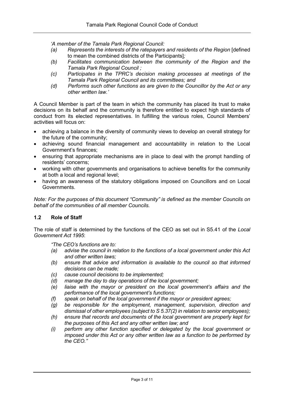*'A member of the Tamala Park Regional Council:*

- *(a) Represents the interests of the ratepayers and residents of the Region* [defined to mean the combined districts of the Participants]*;*
- *(b) Facilitates communication between the community of the Region and the Tamala Park Regional Council ;*
- *(c) Participates in the TPRC's decision making processes at meetings of the Tamala Park Regional Council and its committees; and*
- *(d) Performs such other functions as are given to the Councillor by the Act or any other written law.'*

A Council Member is part of the team in which the community has placed its trust to make decisions on its behalf and the community is therefore entitled to expect high standards of conduct from its elected representatives. In fulfilling the various roles, Council Members' activities will focus on:

- achieving a balance in the diversity of community views to develop an overall strategy for the future of the community;
- achieving sound financial management and accountability in relation to the Local Government's finances;
- ensuring that appropriate mechanisms are in place to deal with the prompt handling of residents' concerns;
- working with other governments and organisations to achieve benefits for the community at both a local and regional level;
- having an awareness of the statutory obligations imposed on Councillors and on Local Governments.

*Note: For the purposes of this document "Community" is defined as the member Councils on behalf of the communities of all member Councils.*

# **1.2 Role of Staff**

The role of staff is determined by the functions of the CEO as set out in S5.41 of the *Local Government Act 1995*:

*"The CEO's functions are to:*

- *(a) advise the council in relation to the functions of a local government under this Act and other written laws;*
- *(b) ensure that advice and information is available to the council so that informed decisions can be made;*
- *(c) cause council decisions to be implemented;*
- *(d) manage the day to day operations of the local government;*
- *(e) liaise with the mayor or president on the local government's affairs and the performance of the local government's functions;*
- *(f) speak on behalf of the local government if the mayor or president agrees;*
- *(g) be responsible for the employment, management, supervision, direction and dismissal of other employees (subject to S 5.37(2) in relation to senior employees);*
- *(h) ensure that records and documents of the local government are properly kept for the purposes of this Act and any other written law; and*
- *(i) perform any other function specified or delegated by the local government or imposed under this Act or any other written law as a function to be performed by the CEO."*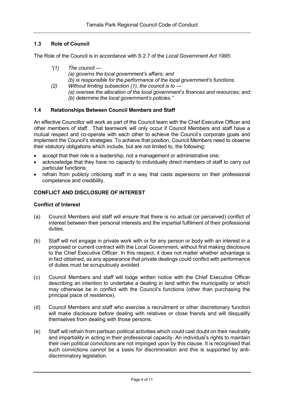# **1.3 Role of Council**

The Role of the Council is in accordance with S 2.7 of the *Local Government Act 1995*:

- *"(1) The council — (a) governs the local government's affairs; and (b) is responsible for the performance of the local government's functions.*
- *(2) Without limiting subsection (1), the council is to — (a) oversee the allocation of the local government's finances and resources; and (b) determine the local government's policies."*

#### **1.4 Relationships Between Council Members and Staff**

An effective Councillor will work as part of the Council team with the Chief Executive Officer and other members of staff. That teamwork will only occur if Council Members and staff have a mutual respect and co-operate with each other to achieve the Council's corporate goals and implement the Council's strategies. To achieve that position, Council Members need to observe their statutory obligations which include, but are not limited to, the following:

- accept that their role is a leadership, not a management or administrative one;
- acknowledge that they have no capacity to individually direct members of staff to carry out particular functions;
- refrain from publicly criticising staff in a way that casts aspersions on their professional competence and credibility.

### **CONFLICT AND DISCLOSURE OF INTEREST**

#### **Conflict of Interest**

- (a) Council Members and staff will ensure that there is no actual (or perceived) conflict of interest between their personal interests and the impartial fulfilment of their professional duties.
- (b) Staff will not engage in private work with or for any person or body with an interest in a proposed or current contract with the Local Government, without first making disclosure to the Chief Executive Officer. In this respect, it does not matter whether advantage is in fact obtained, as any appearance that private dealings could conflict with performance of duties must be scrupulously avoided.
- (c) Council Members and staff will lodge written notice with the Chief Executive Officer describing an intention to undertake a dealing in land within the municipality or which may otherwise be in conflict with the Council's functions (other than purchasing the principal place of residence).
- (d) Council Members and staff who exercise a recruitment or other discretionary function will make disclosure before dealing with relatives or close friends and will disqualify themselves from dealing with those persons.
- (e) Staff will refrain from partisan political activities which could cast doubt on their neutrality and impartiality in acting in their professional capacity. An individual's rights to maintain their own political convictions are not impinged upon by this clause. It is recognised that such convictions cannot be a basis for discrimination and this is supported by antidiscriminatory legislation.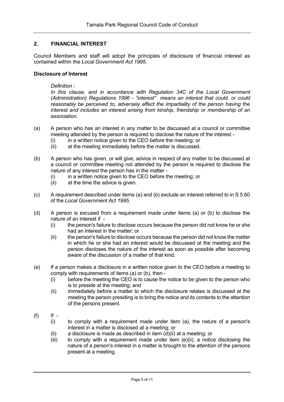# **2. FINANCIAL INTEREST**

Council Members and staff will adopt the principles of disclosure of financial interest as contained within the *Local Government Act 1995*.

#### **Disclosure of Interest**

*Definition :*

*In this clause, and in accordance with Regulation 34C of the Local Government (Administration) Regulations 1996 - "interest" means an interest that could, or could reasonably be perceived to, adversely affect the impartiality of the person having the interest and includes an interest arising from kinship, friendship or membership of an association.* 

- (a) A person who has an interest in any matter to be discussed at a council or committee meeting attended by the person is required to disclose the nature of the interest -
	- $(i)$  in a written notice given to the CEO before the meeting; or
	- (ii) at the meeting immediately before the matter is discussed.
- (b) A person who has given, or will give, advice in respect of any matter to be discussed at a council or committee meeting not attended by the person is required to disclose the nature of any interest the person has in the matter -
	- (i) in a written notice given to the CEO before the meeting; or
	- (ii) at the time the advice is given.
- (c) A requirement described under items (a) and (b) exclude an interest referred to in S 5.60 of the *Local Government Act 1995*.
- (d) A person is excused from a requirement made under items (a) or (b) to disclose the nature of an interest if -
	- (i) the person's failure to disclose occurs because the person did not know he or she had an interest in the matter; or
	- (ii) the person's failure to disclose occurs because the person did not know the matter in which he or she had an interest would be discussed at the meeting and the person discloses the nature of the interest as soon as possible after becoming aware of the discussion of a matter of that kind.
- (e) If a person makes a disclosure in a written notice given to the CEO before a meeting to comply with requirements of items (a) or (b), then -
	- (i) before the meeting the CEO is to cause the notice to be given to the person who is to preside at the meeting; and
	- (ii) immediately before a matter to which the disclosure relates is discussed at the meeting the person presiding is to bring the notice and its contents to the attention of the persons present.
- (f) If
	- (i) to comply with a requirement made under item (a), the nature of a person's interest in a matter is disclosed at a meeting; or
	- (ii) a disclosure is made as described in item  $(d)(ii)$  at a meeting; or
	- (iii) to comply with a requirement made under item (e)(ii), a notice disclosing the nature of a person's interest in a matter is brought to the attention of the persons present at a meeting.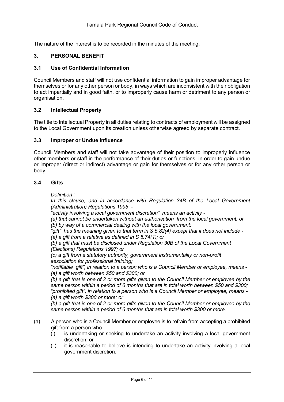The nature of the interest is to be recorded in the minutes of the meeting.

# **3. PERSONAL BENEFIT**

## **3.1 Use of Confidential Information**

Council Members and staff will not use confidential information to gain improper advantage for themselves or for any other person or body, in ways which are inconsistent with their obligation to act impartially and in good faith, or to improperly cause harm or detriment to any person or organisation.

#### **3.2 Intellectual Property**

The title to Intellectual Property in all duties relating to contracts of employment will be assigned to the Local Government upon its creation unless otherwise agreed by separate contract.

#### **3.3 Improper or Undue Influence**

Council Members and staff will not take advantage of their position to improperly influence other members or staff in the performance of their duties or functions, in order to gain undue or improper (direct or indirect) advantage or gain for themselves or for any other person or body.

#### **3.4 Gifts**

*Definition :*

*In this clause, and in accordance with Regulation 34B of the Local Government (Administration) Regulations 1996 -*

*"activity involving a local government discretion" means an activity -*

*(a) that cannot be undertaken without an authorisation from the local government; or (b) by way of a commercial dealing with the local government;* 

*"gift" has the meaning given to that term in S 5.82(4) except that it does not include - (a) a gift from a relative as defined in S 5.74(1); or* 

*(b) a gift that must be disclosed under Regulation 30B of the Local Government (Elections) Regulations 1997; or* 

*(c) a gift from a statutory authority, government instrumentality or non-profit association for professional training;* 

*"notifiable gift", in relation to a person who is a Council Member or employee, means - (a) a gift worth between \$50 and \$300; or* 

*(b) a gift that is one of 2 or more gifts given to the Council Member or employee by the same person within a period of 6 months that are in total worth between \$50 and \$300; "prohibited gift", in relation to a person who is a Council Member or employee, means - (a) a gift worth \$300 or more; or* 

*(b) a gift that is one of 2 or more gifts given to the Council Member or employee by the same person within a period of 6 months that are in total worth \$300 or more.* 

- (a) A person who is a Council Member or employee is to refrain from accepting a prohibited gift from a person who -
	- (i) is undertaking or seeking to undertake an activity involving a local government discretion; or
	- (ii) it is reasonable to believe is intending to undertake an activity involving a local government discretion.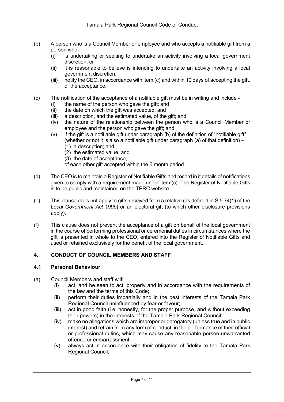- (b) A person who is a Council Member or employee and who accepts a notifiable gift from a person who -
	- (i) is undertaking or seeking to undertake an activity involving a local government discretion; or
	- (ii) it is reasonable to believe is intending to undertake an activity involving a local government discretion,
	- (iii) notify the CEO, in accordance with item (c) and within 10 days of accepting the gift, of the acceptance.
- (c) The notification of the acceptance of a notifiable gift must be in writing and include
	- (i) the name of the person who gave the gift; and
	- (ii) the date on which the gift was accepted; and
	- (iii) a description, and the estimated value, of the gift; and
	- (iv) the nature of the relationship between the person who is a Council Member or employee and the person who gave the gift; and
	- (v) if the gift is a notifiable gift under paragraph (b) of the definition of "notifiable gift" (whether or not it is also a notifiable gift under paragraph (a) of that definition) –
		- (1) a description; and
		- (2) the estimated value; and
		- (3) the date of acceptance,
		- of each other gift accepted within the 6 month period.
- (d) The CEO is to maintain a Register of Notifiable Gifts and record in it details of notifications given to comply with a requirement made under item (c). The Register of Notifiable Gifts is to be public and maintained on the TPRC website.
- (e) This clause does not apply to gifts received from a relative (as defined in S 5.74(1) of the *Local Government Act 1995*) or an electoral gift (to which other disclosure provisions apply).
- (f) This clause does not prevent the acceptance of a gift on behalf of the local government in the course of performing professional or ceremonial duties in circumstances where the gift is presented in whole to the CEO, entered into the Register of Notifiable Gifts and used or retained exclusively for the benefit of the local government.

# **4. CONDUCT OF COUNCIL MEMBERS AND STAFF**

# **4.1 Personal Behaviour**

- (a) Council Members and staff will:
	- (i) act, and be seen to act, properly and in accordance with the requirements of the law and the terms of this Code;
	- (ii) perform their duties impartially and in the best interests of the Tamala Park Regional Council uninfluenced by fear or favour;
	- (iii) act in good faith (i.e. honestly, for the proper purpose, and without exceeding their powers) in the interests of the Tamala Park Regional Council;
	- (iv) make no allegations which are improper or derogatory (unless true and in public interest) and refrain from any form of conduct, in the performance of their official or professional duties, which may cause any reasonable person unwarranted offence or embarrassment;
	- (v) always act in accordance with their obligation of fidelity to the Tamala Park Regional Council;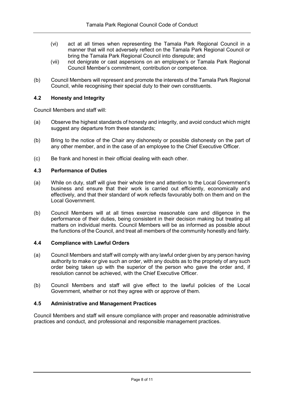- (vi) act at all times when representing the Tamala Park Regional Council in a manner that will not adversely reflect on the Tamala Park Regional Council or bring the Tamala Park Regional Council into disrepute; and
- (vii) not denigrate or cast aspersions on an employee's or Tamala Park Regional Council Member's commitment, contribution or competence.
- (b) Council Members will represent and promote the interests of the Tamala Park Regional Council, while recognising their special duty to their own constituents.

# **4.2 Honesty and Integrity**

Council Members and staff will:

- (a) Observe the highest standards of honesty and integrity, and avoid conduct which might suggest any departure from these standards:
- (b) Bring to the notice of the Chair any dishonesty or possible dishonesty on the part of any other member, and in the case of an employee to the Chief Executive Officer.
- (c) Be frank and honest in their official dealing with each other.

#### **4.3 Performance of Duties**

- (a) While on duty, staff will give their whole time and attention to the Local Government's business and ensure that their work is carried out efficiently, economically and effectively, and that their standard of work reflects favourably both on them and on the Local Government.
- (b) Council Members will at all times exercise reasonable care and diligence in the performance of their duties, being consistent in their decision making but treating all matters on individual merits. Council Members will be as informed as possible about the functions of the Council, and treat all members of the community honestly and fairly.

# **4.4 Compliance with Lawful Orders**

- (a) Council Members and staff will comply with any lawful order given by any person having authority to make or give such an order, with any doubts as to the propriety of any such order being taken up with the superior of the person who gave the order and, if resolution cannot be achieved, with the Chief Executive Officer.
- (b) Council Members and staff will give effect to the lawful policies of the Local Government, whether or not they agree with or approve of them.

#### **4.5 Administrative and Management Practices**

Council Members and staff will ensure compliance with proper and reasonable administrative practices and conduct, and professional and responsible management practices.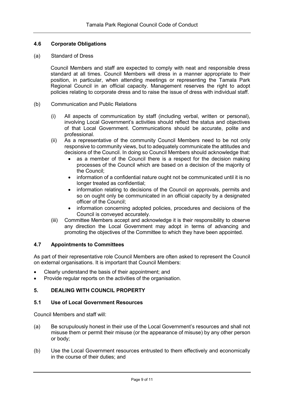# **4.6 Corporate Obligations**

#### (a) Standard of Dress

Council Members and staff are expected to comply with neat and responsible dress standard at all times. Council Members will dress in a manner appropriate to their position, in particular, when attending meetings or representing the Tamala Park Regional Council in an official capacity. Management reserves the right to adopt policies relating to corporate dress and to raise the issue of dress with individual staff.

- (b) Communication and Public Relations
	- (i) All aspects of communication by staff (including verbal, written or personal), involving Local Government's activities should reflect the status and objectives of that Local Government. Communications should be accurate, polite and professional.
	- (ii) As a representative of the community Council Members need to be not only responsive to community views, but to adequately communicate the attitudes and decisions of the Council. In doing so Council Members should acknowledge that:
		- as a member of the Council there is a respect for the decision making processes of the Council which are based on a decision of the majority of the Council;
		- information of a confidential nature ought not be communicated until it is no longer treated as confidential;
		- information relating to decisions of the Council on approvals, permits and so on ought only be communicated in an official capacity by a designated officer of the Council;
		- information concerning adopted policies, procedures and decisions of the Council is conveyed accurately.
	- (iii) Committee Members accept and acknowledge it is their responsibility to observe any direction the Local Government may adopt in terms of advancing and promoting the objectives of the Committee to which they have been appointed.

# **4.7 Appointments to Committees**

As part of their representative role Council Members are often asked to represent the Council on external organisations. It is important that Council Members:

- Clearly understand the basis of their appointment; and
- Provide regular reports on the activities of the organisation.

# **5. DEALING WITH COUNCIL PROPERTY**

#### **5.1 Use of Local Government Resources**

Council Members and staff will:

- (a) Be scrupulously honest in their use of the Local Government's resources and shall not misuse them or permit their misuse (or the appearance of misuse) by any other person or body;
- (b) Use the Local Government resources entrusted to them effectively and economically in the course of their duties; and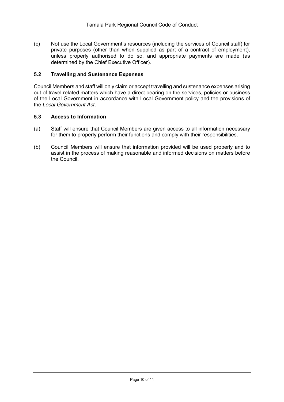(c) Not use the Local Government's resources (including the services of Council staff) for private purposes (other than when supplied as part of a contract of employment), unless properly authorised to do so, and appropriate payments are made (as determined by the Chief Executive Officer).

# **5.2 Travelling and Sustenance Expenses**

Council Members and staff will only claim or accept travelling and sustenance expenses arising out of travel related matters which have a direct bearing on the services, policies or business of the Local Government in accordance with Local Government policy and the provisions of the *Local Government Act*.

# **5.3 Access to Information**

- (a) Staff will ensure that Council Members are given access to all information necessary for them to properly perform their functions and comply with their responsibilities.
- (b) Council Members will ensure that information provided will be used properly and to assist in the process of making reasonable and informed decisions on matters before the Council.